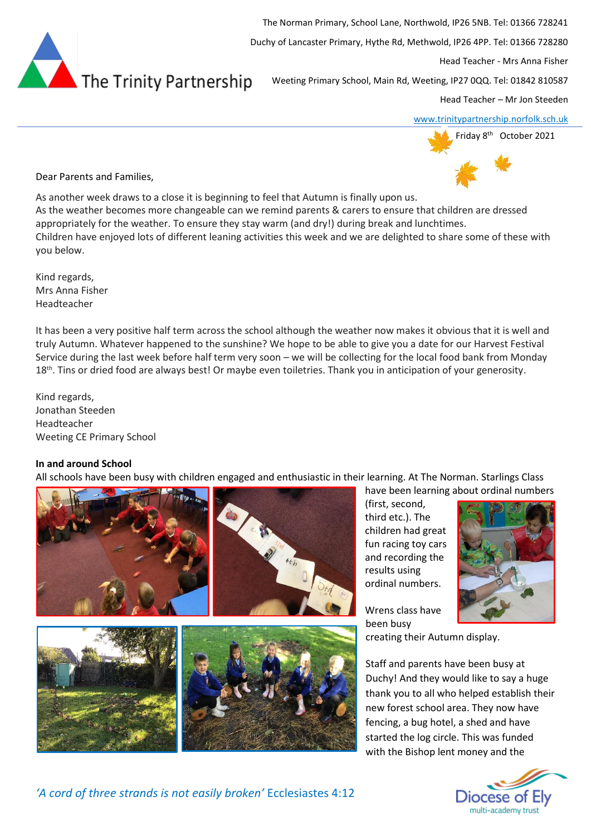

The Norman Primary, School Lane, Northwold, IP26 5NB. Tel: 01366 728241

Duchy of Lancaster Primary, Hythe Rd, Methwold, IP26 4PP. Tel: 01366 728280

Head Teacher - Mrs Anna Fisher

Weeting Primary School, Main Rd, Weeting, IP27 0QQ. Tel: 01842 810587

Head Teacher – Mr Jon Steeden

[www.trinitypartnership.norfolk.sch.uk](http://www.trinitypartnership.norfolk.sch.uk/)



Dear Parents and Families,

As another week draws to a close it is beginning to feel that Autumn is finally upon us. As the weather becomes more changeable can we remind parents & carers to ensure that children are dressed appropriately for the weather. To ensure they stay warm (and dry!) during break and lunchtimes. Children have enjoyed lots of different leaning activities this week and we are delighted to share some of these with you below.

Kind regards, Mrs Anna Fisher Headteacher

It has been a very positive half term across the school although the weather now makes it obvious that it is well and truly Autumn. Whatever happened to the sunshine? We hope to be able to give you a date for our Harvest Festival Service during the last week before half term very soon – we will be collecting for the local food bank from Monday 18<sup>th</sup>. Tins or dried food are always best! Or maybe even toiletries. Thank you in anticipation of your generosity.

Kind regards, Jonathan Steeden Headteacher Weeting CE Primary School

## **In and around School**

All schools have been busy with children engaged and enthusiastic in their learning. At The Norman. Starlings Class



have been learning about ordinal numbers (first, second, third etc.). The children had great fun racing toy cars and recording the results using ordinal numbers.



Wrens class have been busy creating their Autumn display.

Staff and parents have been busy at Duchy! And they would like to say a huge thank you to all who helped establish their new forest school area. They now have fencing, a bug hotel, a shed and have started the log circle. This was funded with the Bishop lent money and the